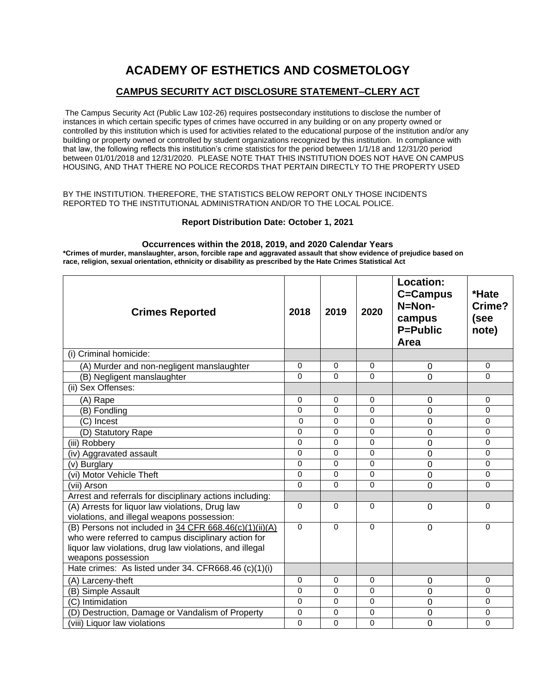# **ACADEMY OF ESTHETICS AND COSMETOLOGY**

### **CAMPUS SECURITY ACT DISCLOSURE STATEMENT–CLERY ACT**

The Campus Security Act (Public Law 102-26) requires postsecondary institutions to disclose the number of instances in which certain specific types of crimes have occurred in any building or on any property owned or controlled by this institution which is used for activities related to the educational purpose of the institution and/or any building or property owned or controlled by student organizations recognized by this institution. In compliance with that law, the following reflects this institution's crime statistics for the period between 1/1/18 and 12/31/20 period between 01/01/2018 and 12/31/2020. PLEASE NOTE THAT THIS INSTITUTION DOES NOT HAVE ON CAMPUS HOUSING, AND THAT THERE NO POLICE RECORDS THAT PERTAIN DIRECTLY TO THE PROPERTY USED

#### BY THE INSTITUTION. THEREFORE, THE STATISTICS BELOW REPORT ONLY THOSE INCIDENTS REPORTED TO THE INSTITUTIONAL ADMINISTRATION AND/OR TO THE LOCAL POLICE.

### **Report Distribution Date: October 1, 2021**

#### **Occurrences within the 2018, 2019, and 2020 Calendar Years**

**\*Crimes of murder, manslaughter, arson, forcible rape and aggravated assault that show evidence of prejudice based on race, religion, sexual orientation, ethnicity or disability as prescribed by the Hate Crimes Statistical Act**

| <b>Crimes Reported</b>                                                                                                                                                                           | 2018     | 2019     | 2020     | <b>Location:</b><br>C=Campus<br>N=Non-<br>campus<br><b>P=Public</b><br>Area | *Hate<br>Crime?<br>(see<br>note) |
|--------------------------------------------------------------------------------------------------------------------------------------------------------------------------------------------------|----------|----------|----------|-----------------------------------------------------------------------------|----------------------------------|
| (i) Criminal homicide:                                                                                                                                                                           |          |          |          |                                                                             |                                  |
| (A) Murder and non-negligent manslaughter                                                                                                                                                        | $\Omega$ | $\Omega$ | 0        | 0                                                                           | $\Omega$                         |
| (B) Negligent manslaughter                                                                                                                                                                       | $\Omega$ | $\Omega$ | $\Omega$ | $\Omega$                                                                    | $\Omega$                         |
| (ii) Sex Offenses:                                                                                                                                                                               |          |          |          |                                                                             |                                  |
| (A) Rape                                                                                                                                                                                         | $\Omega$ | $\Omega$ | 0        | 0                                                                           | 0                                |
| (B) Fondling                                                                                                                                                                                     | $\Omega$ | $\Omega$ | $\Omega$ | 0                                                                           | 0                                |
| (C) Incest                                                                                                                                                                                       | $\Omega$ | $\Omega$ | $\Omega$ | 0                                                                           | 0                                |
| (D) Statutory Rape                                                                                                                                                                               | $\Omega$ | $\Omega$ | 0        | 0                                                                           | $\Omega$                         |
| (iii) Robbery                                                                                                                                                                                    | $\Omega$ | $\Omega$ | 0        | 0                                                                           | $\mathbf 0$                      |
| (iv) Aggravated assault                                                                                                                                                                          | $\Omega$ | $\Omega$ | 0        | 0                                                                           | 0                                |
| (v) Burglary                                                                                                                                                                                     | $\Omega$ | $\Omega$ | $\Omega$ | 0                                                                           | 0                                |
| (vi) Motor Vehicle Theft                                                                                                                                                                         | $\Omega$ | $\Omega$ | $\Omega$ | $\mathbf 0$                                                                 | $\Omega$                         |
| (vii) Arson                                                                                                                                                                                      |          | $\Omega$ | 0        | $\mathbf 0$                                                                 | 0                                |
| Arrest and referrals for disciplinary actions including:                                                                                                                                         |          |          |          |                                                                             |                                  |
| (A) Arrests for liquor law violations, Drug law<br>violations, and illegal weapons possession:                                                                                                   | $\Omega$ | $\Omega$ | $\Omega$ | $\Omega$                                                                    | $\Omega$                         |
| (B) Persons not included in 34 CFR $668.46(c)(1)(ii)(A)$<br>who were referred to campus disciplinary action for<br>liquor law violations, drug law violations, and illegal<br>weapons possession | $\Omega$ | $\Omega$ | $\Omega$ | $\Omega$                                                                    | $\Omega$                         |
| Hate crimes: As listed under 34. CFR668.46 (c)(1)(i)                                                                                                                                             |          |          |          |                                                                             |                                  |
| (A) Larceny-theft                                                                                                                                                                                | $\Omega$ | $\Omega$ | $\Omega$ | 0                                                                           | 0                                |
| (B) Simple Assault                                                                                                                                                                               | 0        | 0        | 0        | 0                                                                           | 0                                |
| (C) Intimidation                                                                                                                                                                                 | $\Omega$ | $\Omega$ | $\Omega$ | 0                                                                           | $\Omega$                         |
| (D) Destruction, Damage or Vandalism of Property                                                                                                                                                 | $\Omega$ | $\Omega$ | $\Omega$ | 0                                                                           | 0                                |
| (viii) Liquor law violations                                                                                                                                                                     | $\Omega$ | $\Omega$ | 0        | 0                                                                           | $\Omega$                         |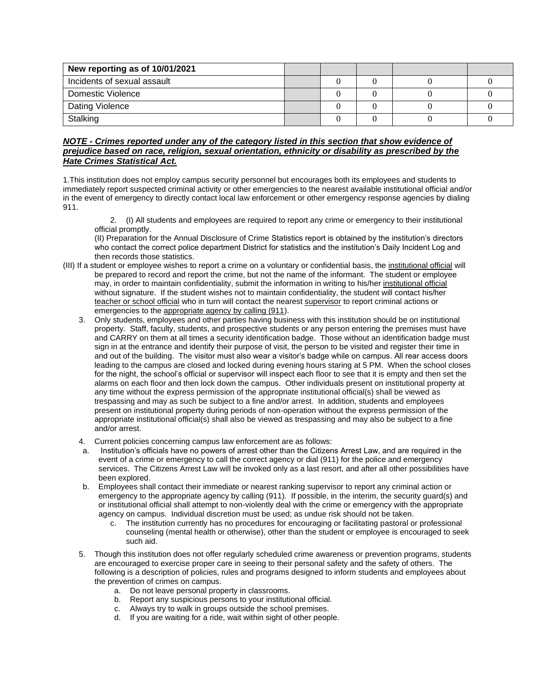| New reporting as of 10/01/2021 |  |  |  |
|--------------------------------|--|--|--|
| Incidents of sexual assault    |  |  |  |
| Domestic Violence              |  |  |  |
| Dating Violence                |  |  |  |
| Stalking                       |  |  |  |

### *NOTE - Crimes reported under any of the category listed in this section that show evidence of prejudice based on race, religion, sexual orientation, ethnicity or disability as prescribed by the Hate Crimes Statistical Act.*

1.This institution does not employ campus security personnel but encourages both its employees and students to immediately report suspected criminal activity or other emergencies to the nearest available institutional official and/or in the event of emergency to directly contact local law enforcement or other emergency response agencies by dialing 911.

2. (I) All students and employees are required to report any crime or emergency to their institutional official promptly.

(II) Preparation for the Annual Disclosure of Crime Statistics report is obtained by the institution's directors who contact the correct police department District for statistics and the institution's Daily Incident Log and then records those statistics.

- (III) If a student or employee wishes to report a crime on a voluntary or confidential basis, the institutional official will be prepared to record and report the crime, but not the name of the informant. The student or employee may, in order to maintain confidentiality, submit the information in writing to his/her institutional official without signature. If the student wishes not to maintain confidentiality, the student will contact his/her teacher or school official who in turn will contact the nearest supervisor to report criminal actions or emergencies to the appropriate agency by calling (911).
	- 3. Only students, employees and other parties having business with this institution should be on institutional property. Staff, faculty, students, and prospective students or any person entering the premises must have and CARRY on them at all times a security identification badge. Those without an identification badge must sign in at the entrance and identify their purpose of visit, the person to be visited and register their time in and out of the building. The visitor must also wear a visitor's badge while on campus. All rear access doors leading to the campus are closed and locked during evening hours staring at 5 PM. When the school closes for the night, the school's official or supervisor will inspect each floor to see that it is empty and then set the alarms on each floor and then lock down the campus. Other individuals present on institutional property at any time without the express permission of the appropriate institutional official(s) shall be viewed as trespassing and may as such be subject to a fine and/or arrest. In addition, students and employees present on institutional property during periods of non-operation without the express permission of the appropriate institutional official(s) shall also be viewed as trespassing and may also be subject to a fine and/or arrest.
	- 4. Current policies concerning campus law enforcement are as follows:
	- a. Institution's officials have no powers of arrest other than the Citizens Arrest Law, and are required in the event of a crime or emergency to call the correct agency or dial (911) for the police and emergency services. The Citizens Arrest Law will be invoked only as a last resort, and after all other possibilities have been explored.
	- b. Employees shall contact their immediate or nearest ranking supervisor to report any criminal action or emergency to the appropriate agency by calling (911). If possible, in the interim, the security guard(s) and or institutional official shall attempt to non-violently deal with the crime or emergency with the appropriate agency on campus. Individual discretion must be used; as undue risk should not be taken.
		- c. The institution currently has no procedures for encouraging or facilitating pastoral or professional counseling (mental health or otherwise), other than the student or employee is encouraged to seek such aid.
	- 5. Though this institution does not offer regularly scheduled crime awareness or prevention programs, students are encouraged to exercise proper care in seeing to their personal safety and the safety of others. The following is a description of policies, rules and programs designed to inform students and employees about the prevention of crimes on campus.
		- a. Do not leave personal property in classrooms.
		- b. Report any suspicious persons to your institutional official.
		- c. Always try to walk in groups outside the school premises.
		- d. If you are waiting for a ride, wait within sight of other people.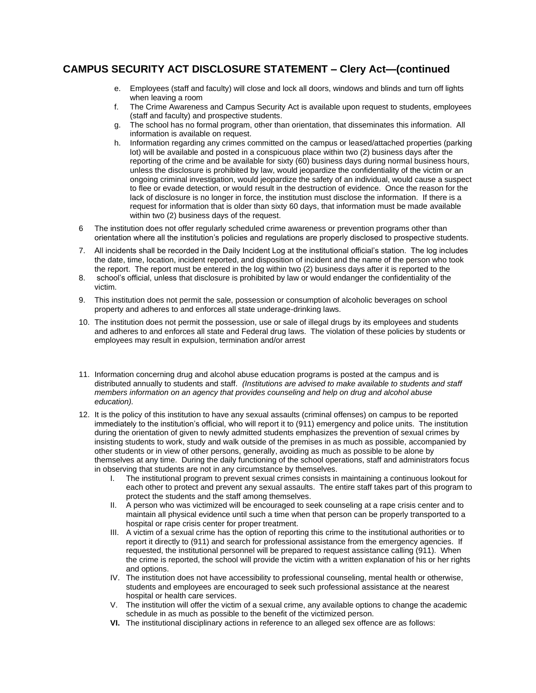# **CAMPUS SECURITY ACT DISCLOSURE STATEMENT – Clery Act—(continued**

- e. Employees (staff and faculty) will close and lock all doors, windows and blinds and turn off lights when leaving a room
- f. The Crime Awareness and Campus Security Act is available upon request to students, employees (staff and faculty) and prospective students.
- g. The school has no formal program, other than orientation, that disseminates this information. All information is available on request.
- h. Information regarding any crimes committed on the campus or leased/attached properties (parking lot) will be available and posted in a conspicuous place within two (2) business days after the reporting of the crime and be available for sixty (60) business days during normal business hours, unless the disclosure is prohibited by law, would jeopardize the confidentiality of the victim or an ongoing criminal investigation, would jeopardize the safety of an individual, would cause a suspect to flee or evade detection, or would result in the destruction of evidence. Once the reason for the lack of disclosure is no longer in force, the institution must disclose the information. If there is a request for information that is older than sixty 60 days, that information must be made available within two (2) business days of the request.
- 6 The institution does not offer regularly scheduled crime awareness or prevention programs other than orientation where all the institution's policies and regulations are properly disclosed to prospective students.
- 7. All incidents shall be recorded in the Daily Incident Log at the institutional official's station. The log includes the date, time, location, incident reported, and disposition of incident and the name of the person who took the report. The report must be entered in the log within two (2) business days after it is reported to the
- 8. school's official, unless that disclosure is prohibited by law or would endanger the confidentiality of the victim.
- 9. This institution does not permit the sale, possession or consumption of alcoholic beverages on school property and adheres to and enforces all state underage-drinking laws.
- 10. The institution does not permit the possession, use or sale of illegal drugs by its employees and students and adheres to and enforces all state and Federal drug laws. The violation of these policies by students or employees may result in expulsion, termination and/or arrest
- 11. Information concerning drug and alcohol abuse education programs is posted at the campus and is distributed annually to students and staff. *(Institutions are advised to make available to students and staff members information on an agency that provides counseling and help on drug and alcohol abuse education).*
- 12. It is the policy of this institution to have any sexual assaults (criminal offenses) on campus to be reported immediately to the institution's official, who will report it to (911) emergency and police units. The institution during the orientation of given to newly admitted students emphasizes the prevention of sexual crimes by insisting students to work, study and walk outside of the premises in as much as possible, accompanied by other students or in view of other persons, generally, avoiding as much as possible to be alone by themselves at any time. During the daily functioning of the school operations, staff and administrators focus in observing that students are not in any circumstance by themselves.
	- I. The institutional program to prevent sexual crimes consists in maintaining a continuous lookout for each other to protect and prevent any sexual assaults. The entire staff takes part of this program to protect the students and the staff among themselves.
	- II. A person who was victimized will be encouraged to seek counseling at a rape crisis center and to maintain all physical evidence until such a time when that person can be properly transported to a hospital or rape crisis center for proper treatment.
	- III. A victim of a sexual crime has the option of reporting this crime to the institutional authorities or to report it directly to (911) and search for professional assistance from the emergency agencies. If requested, the institutional personnel will be prepared to request assistance calling (911). When the crime is reported, the school will provide the victim with a written explanation of his or her rights and options.
	- IV. The institution does not have accessibility to professional counseling, mental health or otherwise, students and employees are encouraged to seek such professional assistance at the nearest hospital or health care services.
	- V. The institution will offer the victim of a sexual crime, any available options to change the academic schedule in as much as possible to the benefit of the victimized person.
	- **VI.** The institutional disciplinary actions in reference to an alleged sex offence are as follows: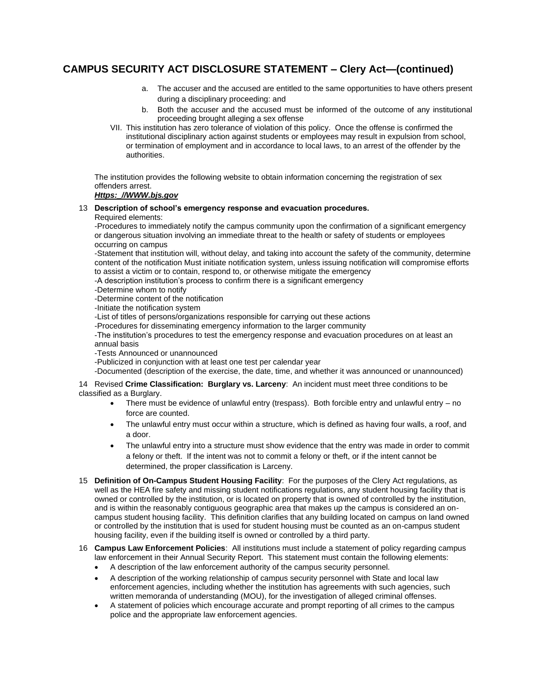# **CAMPUS SECURITY ACT DISCLOSURE STATEMENT – Clery Act—(continued)**

- a. The accuser and the accused are entitled to the same opportunities to have others present during a disciplinary proceeding: and
- b. Both the accuser and the accused must be informed of the outcome of any institutional proceeding brought alleging a sex offense
- VII. This institution has zero tolerance of violation of this policy. Once the offense is confirmed the institutional disciplinary action against students or employees may result in expulsion from school, or termination of employment and in accordance to local laws, to an arrest of the offender by the authorities.

The institution provides the following website to obtain information concerning the registration of sex offenders arrest.

#### *Https:\_//WWW.bjs.gov*

# 13 **Description of school's emergency response and evacuation procedures.**

Required elements:

-Procedures to immediately notify the campus community upon the confirmation of a significant emergency or dangerous situation involving an immediate threat to the health or safety of students or employees occurring on campus

-Statement that institution will, without delay, and taking into account the safety of the community, determine content of the notification Must initiate notification system, unless issuing notification will compromise efforts to assist a victim or to contain, respond to, or otherwise mitigate the emergency

-A description institution's process to confirm there is a significant emergency

-Determine whom to notify

-Determine content of the notification

-Initiate the notification system

-List of titles of persons/organizations responsible for carrying out these actions

-Procedures for disseminating emergency information to the larger community

-The institution's procedures to test the emergency response and evacuation procedures on at least an annual basis

-Tests Announced or unannounced

-Publicized in conjunction with at least one test per calendar year

-Documented (description of the exercise, the date, time, and whether it was announced or unannounced)

#### 14 Revised **Crime Classification: Burglary vs. Larceny**: An incident must meet three conditions to be classified as a Burglary.

- There must be evidence of unlawful entry (trespass). Both forcible entry and unlawful entry  $-$  no force are counted.
- The unlawful entry must occur within a structure, which is defined as having four walls, a roof, and a door.
- The unlawful entry into a structure must show evidence that the entry was made in order to commit a felony or theft. If the intent was not to commit a felony or theft, or if the intent cannot be determined, the proper classification is Larceny.
- 15 **Definition of On-Campus Student Housing Facility**: For the purposes of the Clery Act regulations, as well as the HEA fire safety and missing student notifications regulations, any student housing facility that is owned or controlled by the institution, or is located on property that is owned of controlled by the institution, and is within the reasonably contiguous geographic area that makes up the campus is considered an oncampus student housing facility. This definition clarifies that any building located on campus on land owned or controlled by the institution that is used for student housing must be counted as an on-campus student housing facility, even if the building itself is owned or controlled by a third party.
- 16 **Campus Law Enforcement Policies**: All institutions must include a statement of policy regarding campus law enforcement in their Annual Security Report. This statement must contain the following elements:
	- A description of the law enforcement authority of the campus security personnel.
	- A description of the working relationship of campus security personnel with State and local law enforcement agencies, including whether the institution has agreements with such agencies, such written memoranda of understanding (MOU), for the investigation of alleged criminal offenses.
	- A statement of policies which encourage accurate and prompt reporting of all crimes to the campus police and the appropriate law enforcement agencies.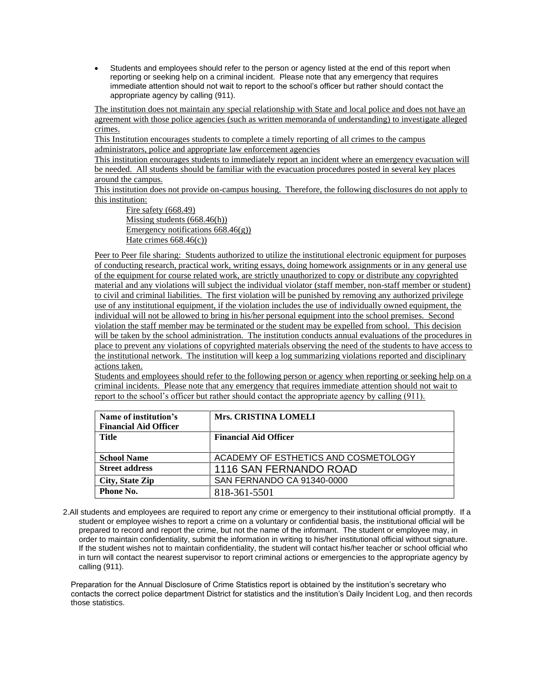• Students and employees should refer to the person or agency listed at the end of this report when reporting or seeking help on a criminal incident. Please note that any emergency that requires immediate attention should not wait to report to the school's officer but rather should contact the appropriate agency by calling (911).

The institution does not maintain any special relationship with State and local police and does not have an agreement with those police agencies (such as written memoranda of understanding) to investigate alleged crimes.

This Institution encourages students to complete a timely reporting of all crimes to the campus administrators, police and appropriate law enforcement agencies

This institution encourages students to immediately report an incident where an emergency evacuation will be needed. All students should be familiar with the evacuation procedures posted in several key places around the campus.

This institution does not provide on-campus housing. Therefore, the following disclosures do not apply to this institution:

Fire safety (668.49) Missing students (668.46(h)) Emergency notifications 668.46(g)) Hate crimes 668.46(c))

Peer to Peer file sharing: Students authorized to utilize the institutional electronic equipment for purposes of conducting research, practical work, writing essays, doing homework assignments or in any general use of the equipment for course related work, are strictly unauthorized to copy or distribute any copyrighted material and any violations will subject the individual violator (staff member, non-staff member or student) to civil and criminal liabilities. The first violation will be punished by removing any authorized privilege use of any institutional equipment, if the violation includes the use of individually owned equipment, the individual will not be allowed to bring in his/her personal equipment into the school premises. Second violation the staff member may be terminated or the student may be expelled from school. This decision will be taken by the school administration. The institution conducts annual evaluations of the procedures in place to prevent any violations of copyrighted materials observing the need of the students to have access to the institutional network. The institution will keep a log summarizing violations reported and disciplinary actions taken.

Students and employees should refer to the following person or agency when reporting or seeking help on a criminal incidents. Please note that any emergency that requires immediate attention should not wait to report to the school's officer but rather should contact the appropriate agency by calling (911).

| Name of institution's<br><b>Financial Aid Officer</b> | <b>Mrs. CRISTINA LOMELI</b>          |
|-------------------------------------------------------|--------------------------------------|
| Title                                                 | <b>Financial Aid Officer</b>         |
| <b>School Name</b>                                    | ACADEMY OF ESTHETICS AND COSMETOLOGY |
| <b>Street address</b>                                 | 1116 SAN FERNANDO ROAD               |
| City, State Zip                                       | SAN FERNANDO CA 91340-0000           |
| Phone No.                                             | 818-361-5501                         |

2.All students and employees are required to report any crime or emergency to their institutional official promptly. If a student or employee wishes to report a crime on a voluntary or confidential basis, the institutional official will be prepared to record and report the crime, but not the name of the informant. The student or employee may, in order to maintain confidentiality, submit the information in writing to his/her institutional official without signature. If the student wishes not to maintain confidentiality, the student will contact his/her teacher or school official who in turn will contact the nearest supervisor to report criminal actions or emergencies to the appropriate agency by calling (911).

Preparation for the Annual Disclosure of Crime Statistics report is obtained by the institution's secretary who contacts the correct police department District for statistics and the institution's Daily Incident Log, and then records those statistics.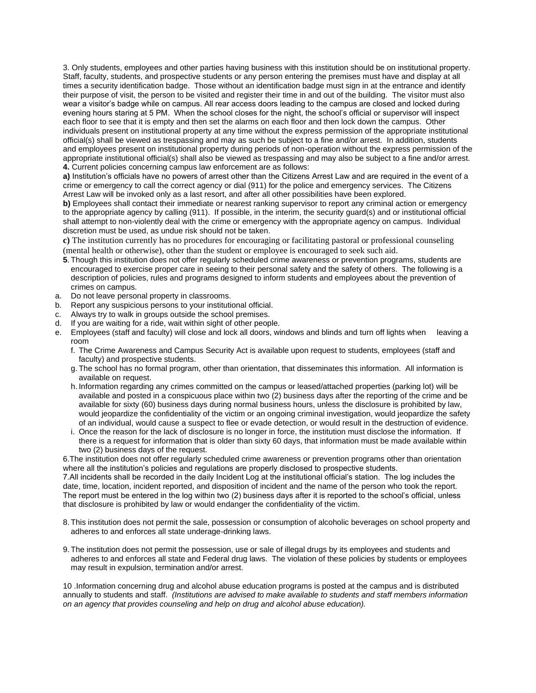3. Only students, employees and other parties having business with this institution should be on institutional property. Staff, faculty, students, and prospective students or any person entering the premises must have and display at all times a security identification badge. Those without an identification badge must sign in at the entrance and identify their purpose of visit, the person to be visited and register their time in and out of the building. The visitor must also wear a visitor's badge while on campus. All rear access doors leading to the campus are closed and locked during evening hours staring at 5 PM. When the school closes for the night, the school's official or supervisor will inspect each floor to see that it is empty and then set the alarms on each floor and then lock down the campus. Other individuals present on institutional property at any time without the express permission of the appropriate institutional official(s) shall be viewed as trespassing and may as such be subject to a fine and/or arrest. In addition, students and employees present on institutional property during periods of non-operation without the express permission of the appropriate institutional official(s) shall also be viewed as trespassing and may also be subject to a fine and/or arrest. **4.** Current policies concerning campus law enforcement are as follows:

**a)** Institution's officials have no powers of arrest other than the Citizens Arrest Law and are required in the event of a crime or emergency to call the correct agency or dial (911) for the police and emergency services. The Citizens Arrest Law will be invoked only as a last resort, and after all other possibilities have been explored.

**b)** Employees shall contact their immediate or nearest ranking supervisor to report any criminal action or emergency to the appropriate agency by calling (911). If possible, in the interim, the security guard(s) and or institutional official shall attempt to non-violently deal with the crime or emergency with the appropriate agency on campus. Individual discretion must be used, as undue risk should not be taken.

**c)** The institution currently has no procedures for encouraging or facilitating pastoral or professional counseling (mental health or otherwise), other than the student or employee is encouraged to seek such aid.

- **5**. Though this institution does not offer regularly scheduled crime awareness or prevention programs, students are encouraged to exercise proper care in seeing to their personal safety and the safety of others. The following is a description of policies, rules and programs designed to inform students and employees about the prevention of crimes on campus.
- a. Do not leave personal property in classrooms.
- b. Report any suspicious persons to your institutional official.
- c. Always try to walk in groups outside the school premises.
- 
- d. If you are waiting for a ride, wait within sight of other people.<br>e. Employees (staff and faculty) will close and lock all doors. wi Employees (staff and faculty) will close and lock all doors, windows and blinds and turn off lights when leaving a room
	- f. The Crime Awareness and Campus Security Act is available upon request to students, employees (staff and faculty) and prospective students.
	- g. The school has no formal program, other than orientation, that disseminates this information. All information is available on request.
	- h. Information regarding any crimes committed on the campus or leased/attached properties (parking lot) will be available and posted in a conspicuous place within two (2) business days after the reporting of the crime and be available for sixty (60) business days during normal business hours, unless the disclosure is prohibited by law, would jeopardize the confidentiality of the victim or an ongoing criminal investigation, would jeopardize the safety of an individual, would cause a suspect to flee or evade detection, or would result in the destruction of evidence.
	- i. Once the reason for the lack of disclosure is no longer in force, the institution must disclose the information. If there is a request for information that is older than sixty 60 days, that information must be made available within two (2) business days of the request.

6.The institution does not offer regularly scheduled crime awareness or prevention programs other than orientation where all the institution's policies and regulations are properly disclosed to prospective students.

7.All incidents shall be recorded in the daily Incident Log at the institutional official's station. The log includes the date, time, location, incident reported, and disposition of incident and the name of the person who took the report. The report must be entered in the log within two (2) business days after it is reported to the school's official, unless that disclosure is prohibited by law or would endanger the confidentiality of the victim.

- 8. This institution does not permit the sale, possession or consumption of alcoholic beverages on school property and adheres to and enforces all state underage-drinking laws.
- 9. The institution does not permit the possession, use or sale of illegal drugs by its employees and students and adheres to and enforces all state and Federal drug laws. The violation of these policies by students or employees may result in expulsion, termination and/or arrest.

10 .Information concerning drug and alcohol abuse education programs is posted at the campus and is distributed annually to students and staff. *(Institutions are advised to make available to students and staff members information on an agency that provides counseling and help on drug and alcohol abuse education).*